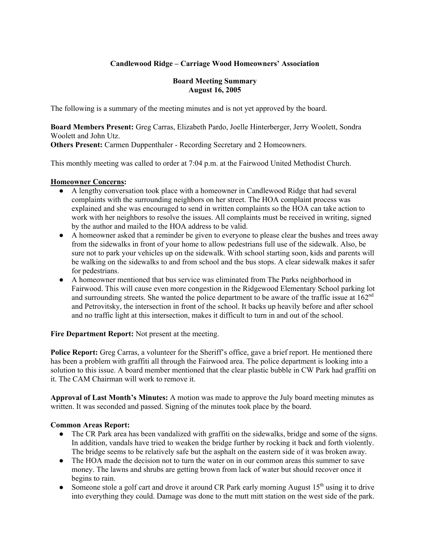## **Candlewood Ridge – Carriage Wood Homeowners' Association**

#### **Board Meeting Summary August 16, 2005**

The following is a summary of the meeting minutes and is not yet approved by the board.

**Board Members Present:** Greg Carras, Elizabeth Pardo, Joelle Hinterberger, Jerry Woolett, Sondra Woolett and John Utz.

**Others Present:** Carmen Duppenthaler - Recording Secretary and 2 Homeowners.

This monthly meeting was called to order at 7:04 p.m. at the Fairwood United Methodist Church.

### **Homeowner Concerns:**

- A lengthy conversation took place with a homeowner in Candlewood Ridge that had several complaints with the surrounding neighbors on her street. The HOA complaint process was explained and she was encouraged to send in written complaints so the HOA can take action to work with her neighbors to resolve the issues. All complaints must be received in writing, signed by the author and mailed to the HOA address to be valid.
- A homeowner asked that a reminder be given to everyone to please clear the bushes and trees away from the sidewalks in front of your home to allow pedestrians full use of the sidewalk. Also, be sure not to park your vehicles up on the sidewalk. With school starting soon, kids and parents will be walking on the sidewalks to and from school and the bus stops. A clear sidewalk makes it safer for pedestrians.
- A homeowner mentioned that bus service was eliminated from The Parks neighborhood in Fairwood. This will cause even more congestion in the Ridgewood Elementary School parking lot and surrounding streets. She wanted the police department to be aware of the traffic issue at  $162<sup>nd</sup>$ and Petrovitsky, the intersection in front of the school. It backs up heavily before and after school and no traffic light at this intersection, makes it difficult to turn in and out of the school.

**Fire Department Report:** Not present at the meeting.

**Police Report:** Greg Carras, a volunteer for the Sheriff's office, gave a brief report. He mentioned there has been a problem with graffiti all through the Fairwood area. The police department is looking into a solution to this issue. A board member mentioned that the clear plastic bubble in CW Park had graffiti on it. The CAM Chairman will work to remove it.

**Approval of Last Month's Minutes:** A motion was made to approve the July board meeting minutes as written. It was seconded and passed. Signing of the minutes took place by the board.

#### **Common Areas Report:**

- The CR Park area has been vandalized with graffiti on the sidewalks, bridge and some of the signs. In addition, vandals have tried to weaken the bridge further by rocking it back and forth violently. The bridge seems to be relatively safe but the asphalt on the eastern side of it was broken away.
- The HOA made the decision not to turn the water on in our common areas this summer to save money. The lawns and shrubs are getting brown from lack of water but should recover once it begins to rain.
- Someone stole a golf cart and drove it around CR Park early morning August  $15<sup>th</sup>$  using it to drive into everything they could. Damage was done to the mutt mitt station on the west side of the park.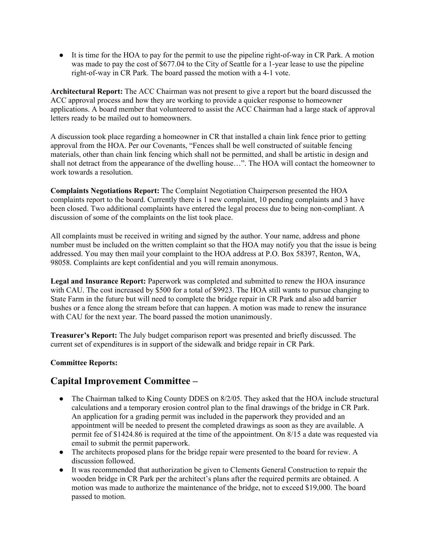● It is time for the HOA to pay for the permit to use the pipeline right-of-way in CR Park. A motion was made to pay the cost of \$677.04 to the City of Seattle for a 1-year lease to use the pipeline right-of-way in CR Park. The board passed the motion with a 4-1 vote.

**Architectural Report:** The ACC Chairman was not present to give a report but the board discussed the ACC approval process and how they are working to provide a quicker response to homeowner applications. A board member that volunteered to assist the ACC Chairman had a large stack of approval letters ready to be mailed out to homeowners.

A discussion took place regarding a homeowner in CR that installed a chain link fence prior to getting approval from the HOA. Per our Covenants, "Fences shall be well constructed of suitable fencing materials, other than chain link fencing which shall not be permitted, and shall be artistic in design and shall not detract from the appearance of the dwelling house…". The HOA will contact the homeowner to work towards a resolution.

**Complaints Negotiations Report:** The Complaint Negotiation Chairperson presented the HOA complaints report to the board. Currently there is 1 new complaint, 10 pending complaints and 3 have been closed. Two additional complaints have entered the legal process due to being non-compliant. A discussion of some of the complaints on the list took place.

All complaints must be received in writing and signed by the author. Your name, address and phone number must be included on the written complaint so that the HOA may notify you that the issue is being addressed. You may then mail your complaint to the HOA address at P.O. Box 58397, Renton, WA, 98058. Complaints are kept confidential and you will remain anonymous.

**Legal and Insurance Report:** Paperwork was completed and submitted to renew the HOA insurance with CAU. The cost increased by \$500 for a total of \$9923. The HOA still wants to pursue changing to State Farm in the future but will need to complete the bridge repair in CR Park and also add barrier bushes or a fence along the stream before that can happen. A motion was made to renew the insurance with CAU for the next year. The board passed the motion unanimously.

**Treasurer's Report:** The July budget comparison report was presented and briefly discussed. The current set of expenditures is in support of the sidewalk and bridge repair in CR Park.

## **Committee Reports:**

# **Capital Improvement Committee –**

- The Chairman talked to King County DDES on 8/2/05. They asked that the HOA include structural calculations and a temporary erosion control plan to the final drawings of the bridge in CR Park. An application for a grading permit was included in the paperwork they provided and an appointment will be needed to present the completed drawings as soon as they are available. A permit fee of \$1424.86 is required at the time of the appointment. On 8/15 a date was requested via email to submit the permit paperwork.
- The architects proposed plans for the bridge repair were presented to the board for review. A discussion followed.
- It was recommended that authorization be given to Clements General Construction to repair the wooden bridge in CR Park per the architect's plans after the required permits are obtained. A motion was made to authorize the maintenance of the bridge, not to exceed \$19,000. The board passed to motion.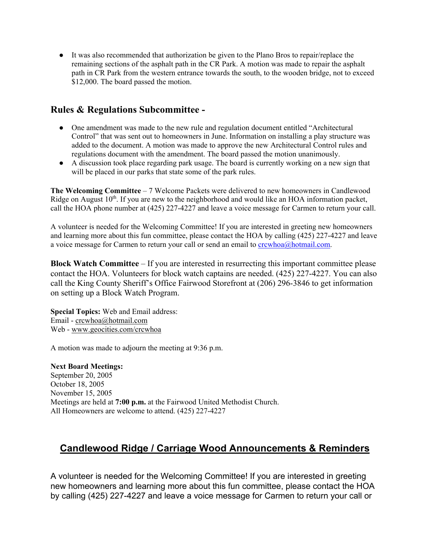● It was also recommended that authorization be given to the Plano Bros to repair/replace the remaining sections of the asphalt path in the CR Park. A motion was made to repair the asphalt path in CR Park from the western entrance towards the south, to the wooden bridge, not to exceed \$12,000. The board passed the motion.

# **Rules & Regulations Subcommittee -**

- One amendment was made to the new rule and regulation document entitled "Architectural" Control" that was sent out to homeowners in June. Information on installing a play structure was added to the document. A motion was made to approve the new Architectural Control rules and regulations document with the amendment. The board passed the motion unanimously.
- A discussion took place regarding park usage. The board is currently working on a new sign that will be placed in our parks that state some of the park rules.

**The Welcoming Committee** – 7 Welcome Packets were delivered to new homeowners in Candlewood Ridge on August  $10<sup>th</sup>$ . If you are new to the neighborhood and would like an HOA information packet, call the HOA phone number at (425) 227-4227 and leave a voice message for Carmen to return your call.

A volunteer is needed for the Welcoming Committee! If you are interested in greeting new homeowners and learning more about this fun committee, please contact the HOA by calling (425) 227-4227 and leave a voice message for Carmen to return your call or send an email to crcwhoa@hotmail.com.

**Block Watch Committee** – If you are interested in resurrecting this important committee please contact the HOA. Volunteers for block watch captains are needed. (425) 227-4227. You can also call the King County Sheriff's Office Fairwood Storefront at (206) 296-3846 to get information on setting up a Block Watch Program.

**Special Topics:** Web and Email address: Email - crcwhoa@hotmail.com Web - www.geocities.com/crcwhoa

A motion was made to adjourn the meeting at 9:36 p.m.

**Next Board Meetings:** September 20, 2005 October 18, 2005 November 15, 2005 Meetings are held at **7:00 p.m.** at the Fairwood United Methodist Church. All Homeowners are welcome to attend. (425) 227-4227

# **Candlewood Ridge / Carriage Wood Announcements & Reminders**

A volunteer is needed for the Welcoming Committee! If you are interested in greeting new homeowners and learning more about this fun committee, please contact the HOA by calling (425) 227-4227 and leave a voice message for Carmen to return your call or